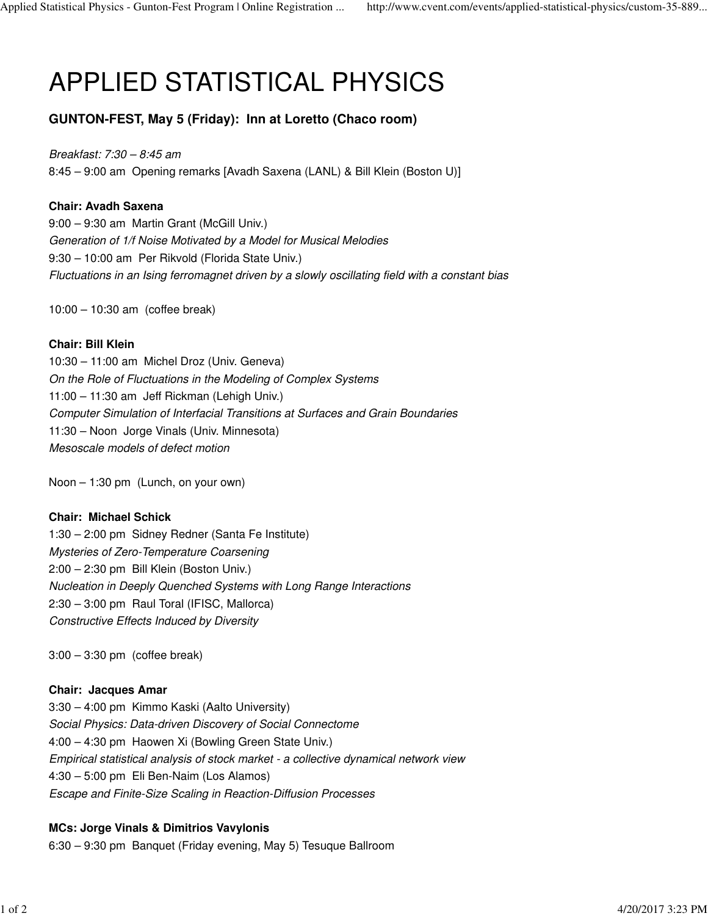# APPLIED STATISTICAL PHYSICS

**GUNTON-FEST, May 5 (Friday): Inn at Loretto (Chaco room)**

Breakfast: 7:30 – 8:45 am 8:45 – 9:00 am Opening remarks [Avadh Saxena (LANL) & Bill Klein (Boston U)]

# **Chair: Avadh Saxena**

9:00 – 9:30 am Martin Grant (McGill Univ.) Generation of 1/f Noise Motivated by a Model for Musical Melodies 9:30 – 10:00 am Per Rikvold (Florida State Univ.) Fluctuations in an Ising ferromagnet driven by a slowly oscillating field with a constant bias

10:00 – 10:30 am (coffee break)

# **Chair: Bill Klein**

10:30 – 11:00 am Michel Droz (Univ. Geneva) On the Role of Fluctuations in the Modeling of Complex Systems 11:00 – 11:30 am Jeff Rickman (Lehigh Univ.) Computer Simulation of Interfacial Transitions at Surfaces and Grain Boundaries 11:30 – Noon Jorge Vinals (Univ. Minnesota) Mesoscale models of defect motion

Noon – 1:30 pm (Lunch, on your own)

# **Chair: Michael Schick**

1:30 – 2:00 pm Sidney Redner (Santa Fe Institute) Mysteries of Zero-Temperature Coarsening 2:00 – 2:30 pm Bill Klein (Boston Univ.) Nucleation in Deeply Quenched Systems with Long Range Interactions 2:30 – 3:00 pm Raul Toral (IFISC, Mallorca) Constructive Effects Induced by Diversity

3:00 – 3:30 pm (coffee break)

# **Chair: Jacques Amar**

3:30 – 4:00 pm Kimmo Kaski (Aalto University) Social Physics: Data-driven Discovery of Social Connectome 4:00 – 4:30 pm Haowen Xi (Bowling Green State Univ.) Empirical statistical analysis of stock market - a collective dynamical network view 4:30 – 5:00 pm Eli Ben-Naim (Los Alamos) Escape and Finite-Size Scaling in Reaction-Diffusion Processes

# **MCs: Jorge Vinals & Dimitrios Vavylonis**

6:30 – 9:30 pm Banquet (Friday evening, May 5) Tesuque Ballroom